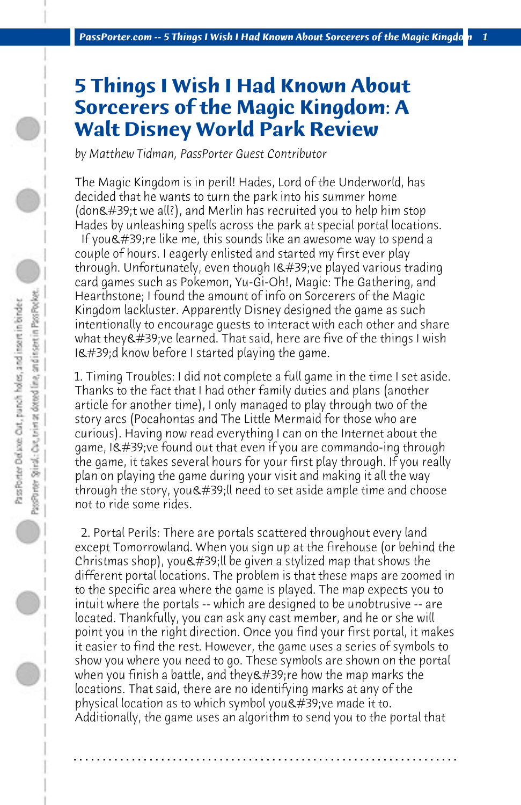## **5 Things I Wish I Had Known About Sorcerers of the Magic Kingdom: A Walt Disney World Park Review**

*by Matthew Tidman, PassPorter Guest Contributor*

The Magic Kingdom is in peril! Hades, Lord of the Underworld, has decided that he wants to turn the park into his summer home (don $\&\#39$ ;t we all?), and Merlin has recruited you to help him stop Hades by unleashing spells across the park at special portal locations.

If you $\&\#39$ ; re like me, this sounds like an awesome way to spend a couple of hours. I eagerly enlisted and started my first ever play through. Unfortunately, even though I' ve played various trading card games such as Pokemon, Yu-Gi-Oh!, Magic: The Gathering, and Hearthstone; I found the amount of info on Sorcerers of the Magic Kingdom lackluster. Apparently Disney designed the game as such intentionally to encourage guests to interact with each other and share what they've learned. That said, here are five of the things I wish  $18#39;$ d know before I started playing the game.

1. Timing Troubles: I did not complete a full game in the time I set aside. Thanks to the fact that I had other family duties and plans (another article for another time), I only managed to play through two of the story arcs (Pocahontas and The Little Mermaid for those who are curious). Having now read everything I can on the Internet about the game, I've found out that even if you are commando-ing through the game, it takes several hours for your first play through. If you really plan on playing the game during your visit and making it all the way through the story, you ' Il need to set aside ample time and choose not to ride some rides.

 2. Portal Perils: There are portals scattered throughout every land except Tomorrowland. When you sign up at the firehouse (or behind the Christmas shop), you  $\&$  #39; Il be given a stylized map that shows the different portal locations. The problem is that these maps are zoomed in to the specific area where the game is played. The map expects you to intuit where the portals -- which are designed to be unobtrusive -- are located. Thankfully, you can ask any cast member, and he or she will point you in the right direction. Once you find your first portal, it makes it easier to find the rest. However, the game uses a series of symbols to show you where you need to go. These symbols are shown on the portal when you finish a battle, and they  $\&\#39$ ; re how the map marks the locations. That said, there are no identifying marks at any of the physical location as to which symbol you  $\&\#39$ ; ve made it to. Additionally, the game uses an algorithm to send you to the portal that

**. . . . . . . . . . . . . . . . . . . . . . . . . . . . . . . . . . . . . . . . . . . . . . . . . . . . . . . . . . . . . . . . . .**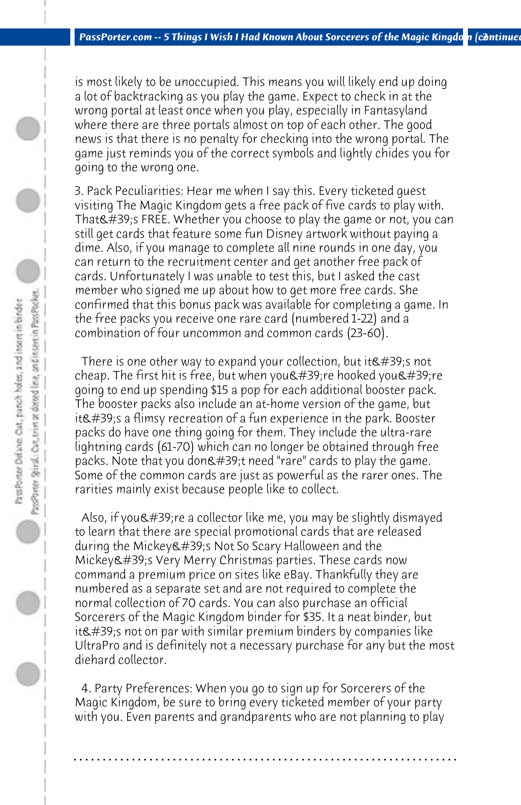is most likely to be unoccupied. This means you will likely end up doing a lot of backtracking as you play the game. Expect to check in at the wrong portal at least once when you play, especially in Fantasyland where there are three portals almost on top of each other. The good news is that there is no penalty for checking into the wrong portal. The game just reminds you of the correct symbols and lightly chides you for going to the wrong one.

3. Pack Peculiarities: Hear me when I say this. Every ticketed guest visiting The Magic Kingdom gets a free pack of five cards to play with. That  $\#39$ ; FREE. Whether you choose to play the game or not, you can still get cards that feature some fun Disney artwork without paying a dime. Also, if you manage to complete all nine rounds in one day, you can return to the recruitment center and get another free pack of cards. Unfortunately I was unable to test this, but I asked the cast member who signed me up about how to get more free cards. She confirmed that this bonus pack was available for completing a game. In the free packs you receive one rare card (numbered 1-22) and a combination of four uncommon and common cards (23-60).

There is one other way to expand your collection, but it  $\&\#39$ ; snot cheap. The first hit is free, but when you  $\&\#39$ ; re hooked you  $\&\#39$ ; re going to end up spending \$15 a pop for each additional booster pack. The booster packs also include an at-home version of the game, but it $&\#39$ ; s a flimsy recreation of a fun experience in the park. Booster packs do have one thing going for them. They include the ultra-rare lightning cards (61-70) which can no longer be obtained through free packs. Note that you don't need "rare" cards to play the game. Some of the common cards are just as powerful as the rarer ones. The rarities mainly exist because people like to collect.

Also, if you  $\&\#39$ ; re a collector like me, you may be slightly dismayed to learn that there are special promotional cards that are released during the Mickey's Not So Scary Halloween and the  $Mickev'$ ; Yery Merry Christmas parties. These cards now command a premium price on sites like eBay. Thankfully they are numbered as a separate set and are not required to complete the normal collection of 70 cards. You can also purchase an official Sorcerers of the Magic Kingdom binder for \$35. It a neat binder, but it's not on par with similar premium binders by companies like UltraPro and is definitely not a necessary purchase for any but the most diehard collector.

 4. Party Preferences: When you go to sign up for Sorcerers of the Magic Kingdom, be sure to bring every ticketed member of your party with you. Even parents and grandparents who are not planning to play

**. . . . . . . . . . . . . . . . . . . . . . . . . . . . . . . . . . . . . . . . . . . . . . . . . . . . . . . . . . . . . . . . . .**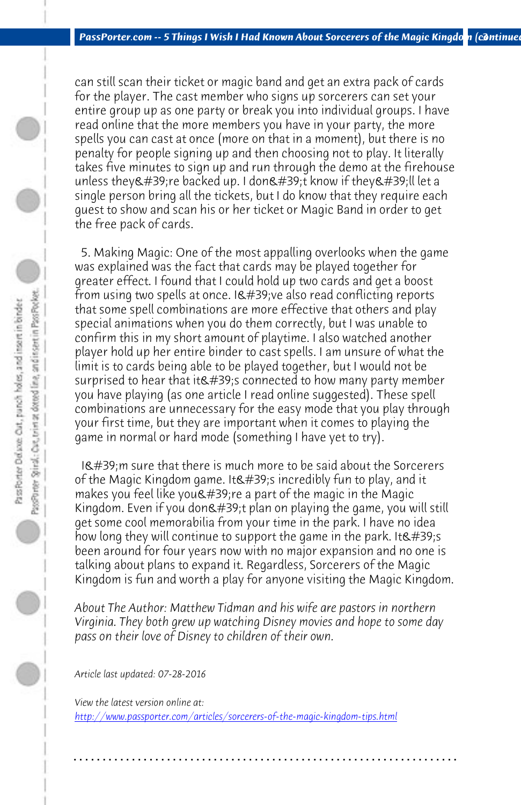*PassPorter.com -- 5 Things I Wish I Had Known About Sorcerers of the Magic Kingdon (continued)* 

can still scan their ticket or magic band and get an extra pack of cards for the player. The cast member who signs up sorcerers can set your entire group up as one party or break you into individual groups. I have read online that the more members you have in your party, the more spells you can cast at once (more on that in a moment), but there is no penalty for people signing up and then choosing not to play. It literally takes five minutes to sign up and run through the demo at the firehouse unless they're backed up. I don't know if they'll let a single person bring all the tickets, but I do know that they require each guest to show and scan his or her ticket or Magic Band in order to get the free pack of cards.

 5. Making Magic: One of the most appalling overlooks when the game was explained was the fact that cards may be played together for greater effect. I found that I could hold up two cards and get a boost from using two spells at once. I've also read conflicting reports that some spell combinations are more effective that others and play special animations when you do them correctly, but I was unable to confirm this in my short amount of playtime. I also watched another player hold up her entire binder to cast spells. I am unsure of what the limit is to cards being able to be played together, but I would not be surprised to hear that it  $\&$  #39; sconnected to how many party member you have playing (as one article I read online suggested). These spell combinations are unnecessary for the easy mode that you play through your first time, but they are important when it comes to playing the game in normal or hard mode (something I have yet to try).

I' m sure that there is much more to be said about the Sorcerers [of the Magic Kingdom game. It's incredibly fun to play, a](http://www.passporter.com/articles/sorcerers-of-the-magic-kingdom-tips.php)nd it makes you feel like you  $\&$ #39; re a part of the magic in the Magic Kingdom. Even if you don't plan on playing the game, you will still get some cool memorabilia from your time in the park. I have no idea how long they will continue to support the game in the park. It  $\&\#39$ ; s been around for four years now with no major expansion and no one is talking about plans to expand it. Regardless, Sorcerers of the Magic Kingdom is fun and worth a play for anyone visiting the Magic Kingdom.

*About The Author: Matthew Tidman and his wife are pastors in northern Virginia. They both grew up watching Disney movies and hope to some day pass on their love of Disney to children of their own.*

**. . . . . . . . . . . . . . . . . . . . . . . . . . . . . . . . . . . . . . . . . . . . . . . . . . . . . . . . . . . . . . . . . .**

*Article last updated: 07-28-2016*

*View the latest version online at: http://www.passporter.com/articles/sorcerers-of-the-magic-kingdom-tips.html*